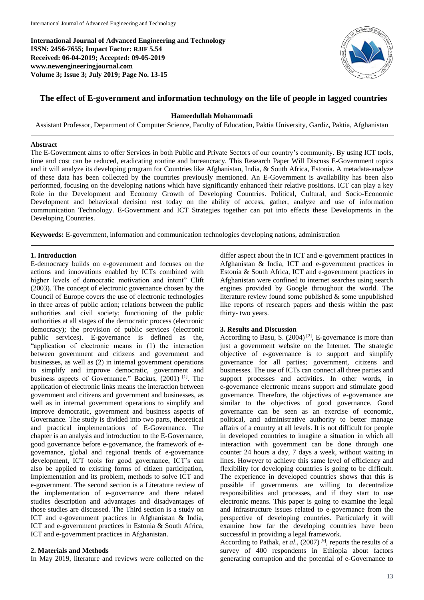**International Journal of Advanced Engineering and Technology ISSN: 2456-7655; Impact Factor: RJIF 5.54 Received: 06-04-2019; Accepted: 09-05-2019 www.newengineeringjournal.com Volume 3; Issue 3; July 2019; Page No. 13-15**



# **The effect of E-government and information technology on the life of people in lagged countries**

#### **Hameedullah Mohammadi**

Assistant Professor, Department of Computer Science, Faculty of Education, Paktia University, Gardiz, Paktia, Afghanistan

#### **Abstract**

The E-Government aims to offer Services in both Public and Private Sectors of our country's community. By using ICT tools, time and cost can be reduced, eradicating routine and bureaucracy. This Research Paper Will Discuss E-Government topics and it will analyze its developing program for Countries like Afghanistan, India, & South Africa, Estonia. A metadata-analyze of these data has been collected by the countries previously mentioned. An E-Government is availability has been also performed, focusing on the developing nations which have significantly enhanced their relative positions. ICT can play a key Role in the Development and Economy Growth of Developing Countries. Political, Cultural, and Socio-Economic Development and behavioral decision rest today on the ability of access, gather, analyze and use of information communication Technology. E-Government and ICT Strategies together can put into effects these Developments in the Developing Countries.

**Keywords:** E-government, information and communication technologies developing nations, administration

#### **1. Introduction**

E-democracy builds on e-government and focuses on the actions and innovations enabled by ICTs combined with higher levels of democratic motivation and intent" Clift (2003). The concept of electronic governance chosen by the Council of Europe covers the use of electronic technologies in three areas of public action; relations between the public authorities and civil society; functioning of the public authorities at all stages of the democratic process (electronic democracy); the provision of public services (electronic public services). E-governance is defined as the, "application of electronic means in (1) the interaction between government and citizens and government and businesses, as well as (2) in internal government operations to simplify and improve democratic, government and business aspects of Governance." Backus, (2001)<sup>[1]</sup>. The application of electronic links means the interaction between government and citizens and government and businesses, as well as in internal government operations to simplify and improve democratic, government and business aspects of Governance. The study is divided into two parts, theoretical and practical implementations of E-Governance. The chapter is an analysis and introduction to the E-Governance, good governance before e-governance, the framework of egovernance, global and regional trends of e-governance development, ICT tools for good governance, ICT's can also be applied to existing forms of citizen participation, Implementation and its problem, methods to solve ICT and e-government. The second section is a Literature review of the implementation of e-governance and there related studies description and advantages and disadvantages of those studies are discussed. The Third section is a study on ICT and e-government practices in Afghanistan & India, ICT and e-government practices in Estonia & South Africa, ICT and e-government practices in Afghanistan.

# **2. Materials and Methods**

In May 2019, literature and reviews were collected on the

differ aspect about the in ICT and e-government practices in Afghanistan & India, ICT and e-government practices in Estonia & South Africa, ICT and e-government practices in Afghanistan were confined to internet searches using search engines provided by Google throughout the world. The literature review found some published  $\&$  some unpublished like reports of research papers and thesis within the past thirty- two years.

## **3. Results and Discussion**

According to Basu, S.  $(2004)$ <sup>[2]</sup>, E-governance is more than just a government website on the Internet. The strategic objective of e‐governance is to support and simplify governance for all parties; government, citizens and businesses. The use of ICTs can connect all three parties and support processes and activities. In other words, in e‐governance electronic means support and stimulate good governance. Therefore, the objectives of e‐governance are similar to the objectives of good governance. Good governance can be seen as an exercise of economic, political, and administrative authority to better manage affairs of a country at all levels. It is not difficult for people in developed countries to imagine a situation in which all interaction with government can be done through one counter 24 hours a day, 7 days a week, without waiting in lines. However to achieve this same level of efficiency and flexibility for developing countries is going to be difficult. The experience in developed countries shows that this is possible if governments are willing to decentralize responsibilities and processes, and if they start to use electronic means. This paper is going to examine the legal and infrastructure issues related to e‐governance from the perspective of developing countries. Particularly it will examine how far the developing countries have been successful in providing a legal framework.

According to Pathak, *et al.*, (2007)<sup>[9]</sup>, reports the results of a survey of 400 respondents in Ethiopia about factors generating corruption and the potential of e-Governance to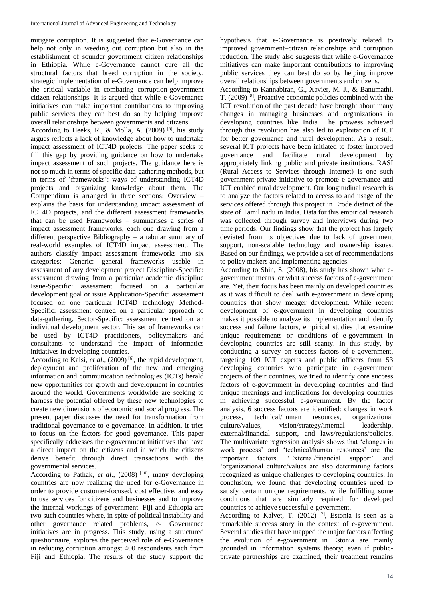mitigate corruption. It is suggested that e-Governance can help not only in weeding out corruption but also in the establishment of sounder government citizen relationships in Ethiopia. While e-Governance cannot cure all the structural factors that breed corruption in the society, strategic implementation of e-Governance can help improve the critical variable in combating corruption-government citizen relationships. It is argued that while e-Governance initiatives can make important contributions to improving public services they can best do so by helping improve overall relationships between governments and citizens

According to Heeks, R., & Molla, A. (2009)<sup>[5]</sup>, his study argues reflects a lack of knowledge about how to undertake impact assessment of ICT4D projects. The paper seeks to fill this gap by providing guidance on how to undertake impact assessment of such projects. The guidance here is not so much in terms of specific data-gathering methods, but in terms of 'frameworks': ways of understanding ICT4D projects and organizing knowledge about them. The Compendium is arranged in three sections: Overview – explains the basis for understanding impact assessment of ICT4D projects, and the different assessment frameworks that can be used Frameworks – summarises a series of impact assessment frameworks, each one drawing from a different perspective Bibliography – a tabular summary of real-world examples of ICT4D impact assessment. The authors classify impact assessment frameworks into six categories: Generic: general frameworks usable in assessment of any development project Discipline-Specific: assessment drawing from a particular academic discipline Issue-Specific: assessment focused on a particular development goal or issue Application-Specific: assessment focused on one particular ICT4D technology Method-Specific: assessment centred on a particular approach to data-gathering. Sector-Specific: assessment centred on an individual development sector. This set of frameworks can be used by ICT4D practitioners, policymakers and consultants to understand the impact of informatics initiatives in developing countries.

According to Kalsi, et al., (2009)<sup>[6]</sup>, the rapid development, deployment and proliferation of the new and emerging information and communication technologies (ICTs) herald new opportunities for growth and development in countries around the world. Governments worldwide are seeking to harness the potential offered by these new technologies to create new dimensions of economic and social progress. The present paper discusses the need for transformation from traditional governance to e-governance. In addition, it tries to focus on the factors for good governance. This paper specifically addresses the e-government initiatives that have a direct impact on the citizens and in which the citizens derive benefit through direct transactions with the governmental services.

According to Pathak, *et al.*, (2008)<sup>[10]</sup>, many developing countries are now realizing the need for e-Governance in order to provide customer-focused, cost effective, and easy to use services for citizens and businesses and to improve the internal workings of government. Fiji and Ethiopia are two such countries where, in spite of political instability and other governance related problems, e- Governance initiatives are in progress. This study, using a structured questionnaire, explores the perceived role of e-Governance in reducing corruption amongst 400 respondents each from Fiji and Ethiopia. The results of the study support the

hypothesis that e-Governance is positively related to improved government–citizen relationships and corruption reduction. The study also suggests that while e-Governance initiatives can make important contributions to improving public services they can best do so by helping improve overall relationships between governments and citizens.

According to Kannabiran, G., Xavier, M. J., & Banumathi, T. (2009) [8] , Proactive economic policies combined with the ICT revolution of the past decade have brought about many changes in managing businesses and organizations in developing countries like India. The prowess achieved through this revolution has also led to exploitation of ICT for better governance and rural development. As a result, several ICT projects have been initiated to foster improved governance and facilitate rural development by appropriately linking public and private institutions. RASI (Rural Access to Services through Internet) is one such government-private initiative to promote e-governance and ICT enabled rural development. Our longitudinal research is to analyze the factors related to access to and usage of the services offered through this project in Erode district of the state of Tamil nadu in India. Data for this empirical research was collected through survey and interviews during two time periods. Our findings show that the project has largely deviated from its objectives due to lack of government support, non-scalable technology and ownership issues. Based on our findings, we provide a set of recommendations to policy makers and implementing agencies.

According to Shin, S. (2008), his study has shown what egovernment means, or what success factors of e-government are. Yet, their focus has been mainly on developed countries as it was difficult to deal with e-government in developing countries that show meager development. While recent development of e-government in developing countries makes it possible to analyze its implementation and identify success and failure factors, empirical studies that examine unique requirements or conditions of e-government in developing countries are still scanty. In this study, by conducting a survey on success factors of e-government, targeting 109 ICT experts and public officers from 53 developing countries who participate in e-government projects of their countries, we tried to identify core success factors of e-government in developing countries and find unique meanings and implications for developing countries in achieving successful e-government. By the factor analysis, 6 success factors are identified: changes in work process, technical/human resources, organizational culture/values, vision/strategy/internal leadership, external/financial support, and laws/regulations/policies. The multivariate regression analysis shows that 'changes in work process' and 'technical/human resources' are the important factors. 'External/financial support' and 'organizational culture/values are also determining factors recognized as unique challenges to developing countries. In conclusion, we found that developing countries need to satisfy certain unique requirements, while fulfilling some conditions that are similarly required for developed countries to achieve successful e-government.

According to Kalvet, T.  $(2012)$  <sup>[7]</sup>, Estonia is seen as a remarkable success story in the context of e-government. Several studies that have mapped the major factors affecting the evolution of e-government in Estonia are mainly grounded in information systems theory; even if publicprivate partnerships are examined, their treatment remains